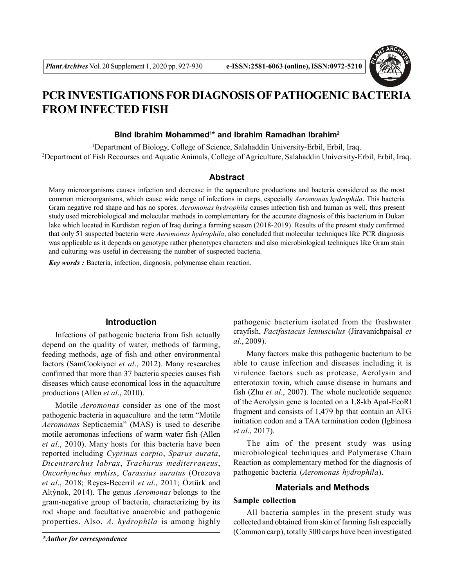

# **PCR INVESTIGATIONS FOR DIAGNOSIS OF PATHOGENIC BACTERIA FROM INFECTED FISH**

### **Blnd Ibrahim Mohammed<sup>1</sup> \* and Ibrahim Ramadhan Ibrahim<sup>2</sup>**

<sup>1</sup>Department of Biology, College of Science, Salahaddin University-Erbil, Erbil, Iraq. <sup>2</sup>Department of Fish Recourses and Aquatic Animals, College of Agriculture, Salahaddin University-Erbil, Erbil, Iraq.

## **Abstract**

Many microorganisms causes infection and decrease in the aquaculture productions and bacteria considered as the most common microorganisms, which cause wide range of infections in carps, especially *Aeromonas hydrophila*. This bacteria Gram negative rod shape and has no spores. *Aeromonas hydrophila* causes infection fish and human as well, thus present study used microbiological and molecular methods in complementary for the accurate diagnosis of this bacterium in Dukan lake which located in Kurdistan region of Iraq during a farming season (2018-2019). Results of the present study confirmed that only 51 suspected bacteria were *Aeromonas hydrophila*, also concluded that molecular techniques like PCR diagnosis was applicable as it depends on genotype rather phenotypes characters and also microbiological techniques like Gram stain and culturing was useful in decreasing the number of suspected bacteria.

*Key words :* Bacteria, infection, diagnosis, polymerase chain reaction.

# **Introduction**

Infections of pathogenic bacteria from fish actually depend on the quality of water, methods of farming, feeding methods, age of fish and other environmental factors (SamCookiyaei *et al*., 2012). Many researches confirmed that more than 37 bacteria species causes fish diseases which cause economical loss in the aquaculture productions (Allen *et al*., 2010).

Motile *Aeromonas* consider as one of the most pathogenic bacteria in aquaculture and the term "Motile *Aeromonas* Septicaemia" (MAS) is used to describe motile aeromonas infections of warm water fish (Allen *et al*., 2010). Many hosts for this bacteria have been reported including *Cyprinus carpio*, *Sparus aurata*, *Dicentrarchus labrax*, *Trachurus mediterraneus*, *Oncorhynchus mykiss*, *Carassius auratus* (Orozova *et al*., 2018; Reyes-Becerril *et al*., 2011; Öztürk and Altýnok, 2014). The genus *Aeromonas* belongs to the gram-negative group of bacteria, characterizing by its rod shape and facultative anaerobic and pathogenic properties. Also, *A. hydrophila* is among highly

pathogenic bacterium isolated from the freshwater crayfish, *Pacifastacus leniusculus* (Jiravanichpaisal *et al*., 2009).

Many factors make this pathogenic bacterium to be able to cause infection and diseases including it is virulence factors such as protease, Aerolysin and enterotoxin toxin, which cause disease in humans and fish (Zhu *et al*., 2007). The whole nucleotide sequence of the Aerolysin gene is located on a 1.8-kb ApaI-EcoRI fragment and consists of 1,479 bp that contain an ATG initiation codon and a TAA termination codon (Igbinosa *et al*., 2017).

The aim of the present study was using microbiological techniques and Polymerase Chain Reaction as complementary method for the diagnosis of pathogenic bacteria (*Aeromonas hydrophila*).

#### **Materials and Methods**

## **Sample collection**

All bacteria samples in the present study was collected and obtained from skin of farming fish especially (Common carp), totally 300 carps have been investigated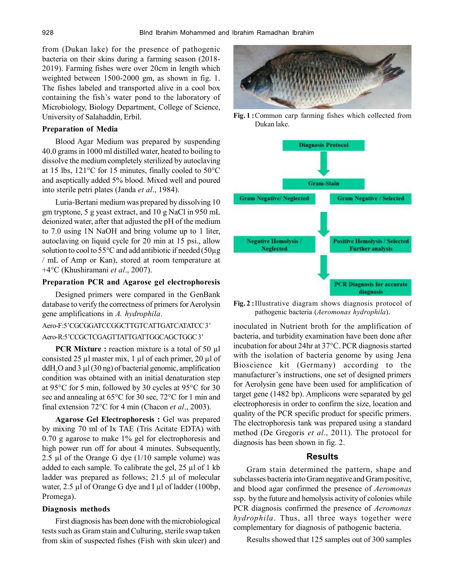from (Dukan lake) for the presence of pathogenic bacteria on their skins during a farming season (2018- 2019). Farming fishes were over 20cm in length which weighted between 1500-2000 gm, as shown in fig. 1. The fishes labeled and transported alive in a cool box containing the fish's water pond to the laboratory of Microbiology, Biology Department, College of Science, University of Salahaddin, Erbil.

#### **Preparation of Media**

Blood Agar Medium was prepared by suspending 40.0 grams in 1000 ml distilled water, heated to boiling to dissolve the medium completely sterilized by autoclaving at 15 lbs, 121°C for 15 minutes, finally cooled to 50°C and aseptically added 5% blood. Mixed well and poured into sterile petri plates (Janda *et al*., 1984).

Luria-Bertani medium was prepared by dissolving 10 gm tryptone, 5 g yeast extract, and 10 g NaCl in 950 mL deionized water, after that adjusted the pH of the medium to 7.0 using 1N NaOH and bring volume up to 1 liter, autoclaving on liquid cycle for 20 min at 15 psi., allow solution to cool to  $55^{\circ}$ C and add antibiotic if needed ( $50\mu$ g / mL of Amp or Kan), stored at room temperature at +4°C (Khushiramani *et al*., 2007).

## **Preparation PCR and Agarose gel electrophoresis**

Designed primers were compared in the GenBank database to verify the correctness of primers for Aerolysin gene amplifications in *A. hydrophila*.

#### Aero-F:5'CGCGGATCCGGCTTGTCATTGATCATATCC 3'

#### Aero-R:5'CCGCTCGAGTTATTGATTGGCAGCTGGC 3'

**PCR Mixture :** reaction mixture is a total of 50 µl consisted 25 µl master mix, 1 µl of each primer, 20 µl of ddH<sub>2</sub>O and 3  $\mu$ l (30 ng) of bacterial genomic, amplification condition was obtained with an initial denaturation step at 95°C for 5 min, followed by 30 cycles at 95°C for 30 sec and annealing at 65°C for 30 sec, 72°C for 1 min and final extension 72°C for 4 min (Chacon *et al*., 2003).

**Agarose Gel Electrophoresis :** Gel was prepared by mixing 70 ml of Ix TAE (Tris Acitate EDTA) with 0.70 g agarose to make 1% gel for electrophoresis and high power run off for about 4 minutes. Subsequently, 2.5 µl of the Orange G dye  $(1/10 \text{ sample volume})$  was added to each sample. To calibrate the gel, 25 µl of 1 kb ladder was prepared as follows; 21.5 µl of molecular water, 2.5 µl of Orange G dye and I µl of ladder (100bp, Promega).

#### **Diagnosis methods**

First diagnosis has been done with the microbiological tests such as Gram stain and Culturing, sterile swap taken from skin of suspected fishes (Fish with skin ulcer) and



**Fig. 1 :**Common carp farming fishes which collected from Dukan lake.



**Fig. 2 :**Illustrative diagram shows diagnosis protocol of pathogenic bacteria (*Aeromonas hydrophila*).

inoculated in Nutrient broth for the amplification of bacteria, and turbidity examination have been done after incubation for about 24hr at 37°C. PCR diagnosis started with the isolation of bacteria genome by using Jena Bioscience kit (Germany) according to the manufacturer's instructions, one set of designed primers for Aerolysin gene have been used for amplification of target gene (1482 bp). Amplicons were separated by gel electrophoresis in order to confirm the size, location and quality of the PCR specific product for specific primers. The electrophoresis tank was prepared using a standard method (De Gregoris *et al*., 2011). The protocol for diagnosis has been shown in fig. 2.

## **Results**

Gram stain determined the pattern, shape and subclasses bacteria into Gram negative and Gram positive, and blood agar confirmed the presence of *Aeromonas* ssp. by the future and hemolysis activity of colonies while PCR diagnosis confirmed the presence of *Aeromonas hydrophila*. Thus, all three ways together were complementary for diagnosis of pathogenic bacteria.

Results showed that 125 samples out of 300 samples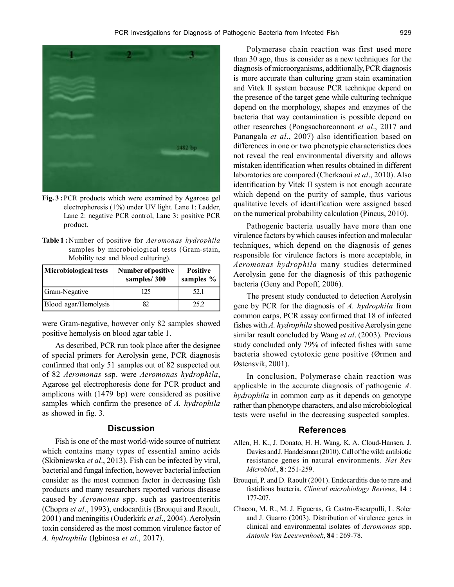

**Fig. 3 :**PCR products which were examined by Agarose gel electrophoresis (1%) under UV light. Lane 1: Ladder, Lane 2: negative PCR control, Lane 3: positive PCR product.

**Table 1 :**Number of positive for *Aeromonas hydrophila* samples by microbiological tests (Gram-stain, Mobility test and blood culturing).

| Microbiological tests | Number of positive<br>samples/300 | <b>Positive</b><br>samples $%$ |
|-----------------------|-----------------------------------|--------------------------------|
| Gram-Negative         | 125                               | 52.1                           |
| Blood agar/Hemolysis  |                                   | 25.2                           |

were Gram-negative, however only 82 samples showed positive hemolysis on blood agar table 1.

As described, PCR run took place after the designee of special primers for Aerolysin gene, PCR diagnosis confirmed that only 51 samples out of 82 suspected out of 82 *Aeromonas* ssp. were *Aeromonas hydrophila*, Agarose gel electrophoresis done for PCR product and amplicons with (1479 bp) were considered as positive samples which confirm the presence of *A. hydrophila* as showed in fig. 3.

## **Discussion**

Fish is one of the most world-wide source of nutrient which contains many types of essential amino acids (Skibniewska *et al*., 2013). Fish can be infected by viral, bacterial and fungal infection, however bacterial infection consider as the most common factor in decreasing fish products and many researchers reported various disease caused by *Aeromonas* spp. such as gastroenteritis (Chopra *et al*., 1993), endocarditis (Brouqui and Raoult, 2001) and meningitis (Ouderkirk *et al*., 2004). Aerolysin toxin considered as the most common virulence factor of *A. hydrophila* (Igbinosa *et al*., 2017).

Polymerase chain reaction was first used more than 30 ago, thus is consider as a new techniques for the diagnosis of microorganisms, additionally, PCR diagnosis is more accurate than culturing gram stain examination and Vitek II system because PCR technique depend on the presence of the target gene while culturing technique depend on the morphology, shapes and enzymes of the bacteria that way contamination is possible depend on other researches (Pongsachareonnont *et al*., 2017 and Panangala *et al*., 2007) also identification based on differences in one or two phenotypic characteristics does not reveal the real environmental diversity and allows mistaken identification when results obtained in different laboratories are compared (Cherkaoui *et al*., 2010). Also identification by Vitek II system is not enough accurate which depend on the purity of sample, thus various qualitative levels of identification were assigned based on the numerical probability calculation (Pincus, 2010).

Pathogenic bacteria usually have more than one virulence factors by which causes infection and molecular techniques, which depend on the diagnosis of genes responsible for virulence factors is more acceptable, in *Aeromonas hydrophila* many studies determined Aerolysin gene for the diagnosis of this pathogenic bacteria (Geny and Popoff, 2006).

The present study conducted to detection Aerolysin gene by PCR for the diagnosis of *A. hydrophila* from common carps, PCR assay confirmed that 18 of infected fishes with *A. hydrophila* showed positive Aerolysin gene similar result concluded by Wang *et al*. (2003). Previous study concluded only 79% of infected fishes with same bacteria showed cytotoxic gene positive (Ørmen and Østensvik, 2001).

In conclusion, Polymerase chain reaction was applicable in the accurate diagnosis of pathogenic *A. hydrophila* in common carp as it depends on genotype rather than phenotype characters, and also microbiological tests were useful in the decreasing suspected samples.

#### **References**

- Allen, H. K., J. Donato, H. H. Wang, K. A. Cloud-Hansen, J. Davies and J. Handelsman (2010). Call of the wild: antibiotic resistance genes in natural environments. *Nat Rev Microbiol*., **8** : 251-259.
- Brouqui, P. and D. Raoult (2001). Endocarditis due to rare and fastidious bacteria. *Clinical microbiology Reviews*, **14** : 177-207.
- Chacon, M. R., M. J. Figueras, G. Castro-Escarpulli, L. Soler and J. Guarro (2003). Distribution of virulence genes in clinical and environmental isolates of *Aeromonas* spp. *Antonie Van Leeuwenhoek*, **84** : 269-78.